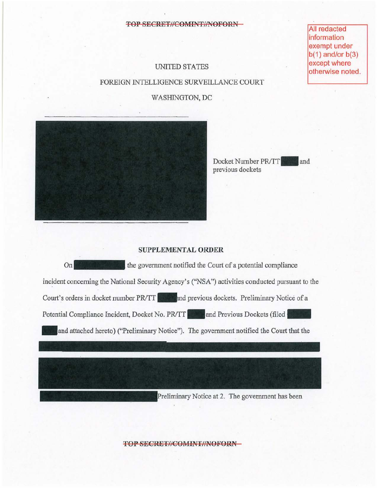#### **TOP SECRET//COMINT//NOFORN-**

**All redacted** information exempt under  $b(1)$  and/or  $b(3)$ except where otherwise noted.

# UNITED STATES FOREIGN INTELLIGENCE SURVEILLANCE COURT

## WASHINGTON, DC



Docket Number **PR/TT** and previous dockets

### **SUPPLEMENTAL ORDER**

On the government notified the Court of a potential compliance incident concerning the National Security Agency's ("NSA") activities conducted pursuant to the Court's orders in docket number PR/TT and previous dockets. Preliminary Notice of a Potential Compliance Incident, Docket No. PR/TT and Previous Dockets (filed **\_ and** attached hereto) ("Preliminary Notice"). The government notified the Court that the

Preliminary Notice at 2. The government has been

**TOP SECRET//COMINT//NOFORN-**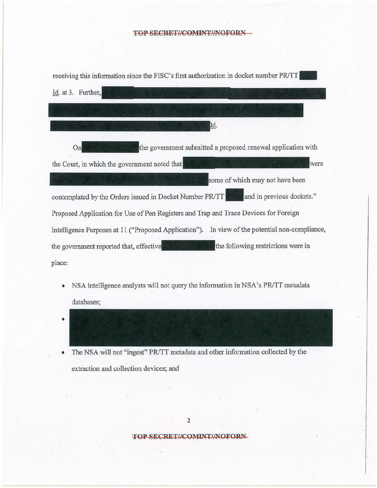## **TOP SECRET//COMINT//NOFORN -**

| receiving this information since the FISC's first authorization in docket number PR/TT            |
|---------------------------------------------------------------------------------------------------|
| Id. at 3. Further,                                                                                |
|                                                                                                   |
| Id.                                                                                               |
| the government submitted a proposed renewal application with<br>Onl                               |
| the Court, in which the government noted that<br>were                                             |
| some of which may not have been                                                                   |
| and in previous dockets."<br>contemplated by the Orders issued in Docket Number PR/TT             |
| Proposed Application for Use of Pen Registers and Trap and Trace Devices for Foreign              |
| In view of the potential non-compliance,<br>Intelligence Purposes at 11 ("Proposed Application"). |
| the following restrictions were in<br>the government reported that, effective                     |
| place:                                                                                            |
|                                                                                                   |

- NSA intelligence analysts will not query the information in NSA's *PRITT* metadata databases;
- •

• The NSA will not "ingest" *PRITT* metadata and other information collected by the extraction and collection devices; and

## **TOP SECRET//COMINT//NOFORN-**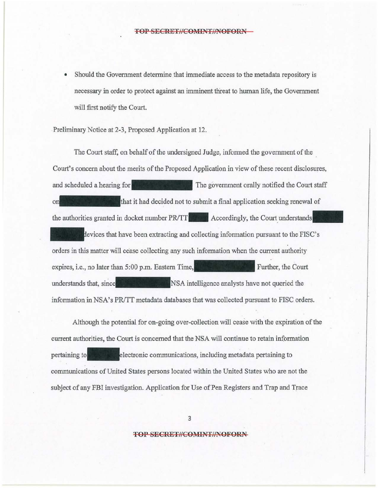• Should the Government determine that immediate access to the metadata repository is necessary in order to protect against an innninent threat to human life, the Government will first notify the Court.

Preliminary Notice at 2-3, Proposed Application at 12.

The Court staff, on behalf of the undersigned Judge, informed the government of the . Court's concern about the merits of the Proposed Application in view of these recent disclosures, and scheduled a hearing for The government orally notified the Court staff on **that it had decided not to submit a final application seeking renewal of** the authorities granted in docket number **PR/TT**. Accordingly, the Court understands devices that have been extracting and collecting information pursuant to the FISC's orders in this matter will cease collecting any such information when the current authority expires, i.e., no later than 5:00 p.m. Eastern Further, the Court understands that, since **the state of the SNSA** intelligence analysts have not queried the information in NSA's PR/TT metadata databases that was collected pursuant to FISC orders.

Although the potential for on-going over-collection will cease with the expiration of the current authorities, the Court is concerned that the NSA will continue to retain information pertaining to **the communications**, including metadata pertaining to communications of United States persons located within the United States who are not the subject of any FBI investigation. Application for Use of Pen Registers and Trap and Trace

3

#### **TOP SECRET//COMINT//NOFORN-**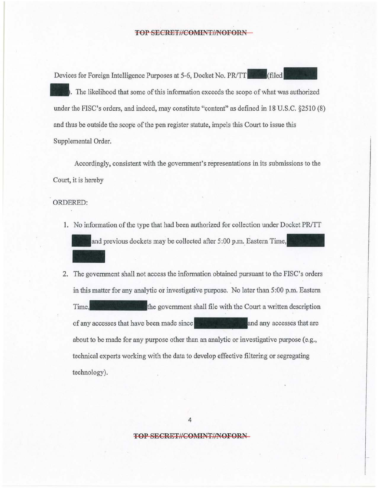#### **TOP SECRET//COMINT//NOFORN**

Devices for Foreign Intelligence Purposes at 5-6, Docket No. PR/TT The likelihood that some of this information exceeds the scope of what was authorized under the FISC's orders, and indeed, may constitute "content" as defined in 18 U.S.C. §25l0 (8) and thus be outside the scope of the pen register statute, impels this Court to issue this Supplemental Order.

Accordingly, consistent with the government's representations in its submissions to the Court, it is hereby

ORDERED:

1. No information of the type that had been authorized for collection under Docket PR/TT and previous dockets may be collected after 5:00 p.m. Eastern Time,

2. The government shall not access the information obtained pursuant to the FISC's orders in this matter for any analytic or investigative purpose. No later than 5 :00 p.m. Eastern Time, the government shall file with the Court a written description of any accesses that have been made since and any accesses that are about to be made for any purpose other than an analytic or investigative purpose (e.g., technical experts working with the data to develop effective filtering or segregating technology).

4

**TOP SECRET//COMINT//NOFORN**